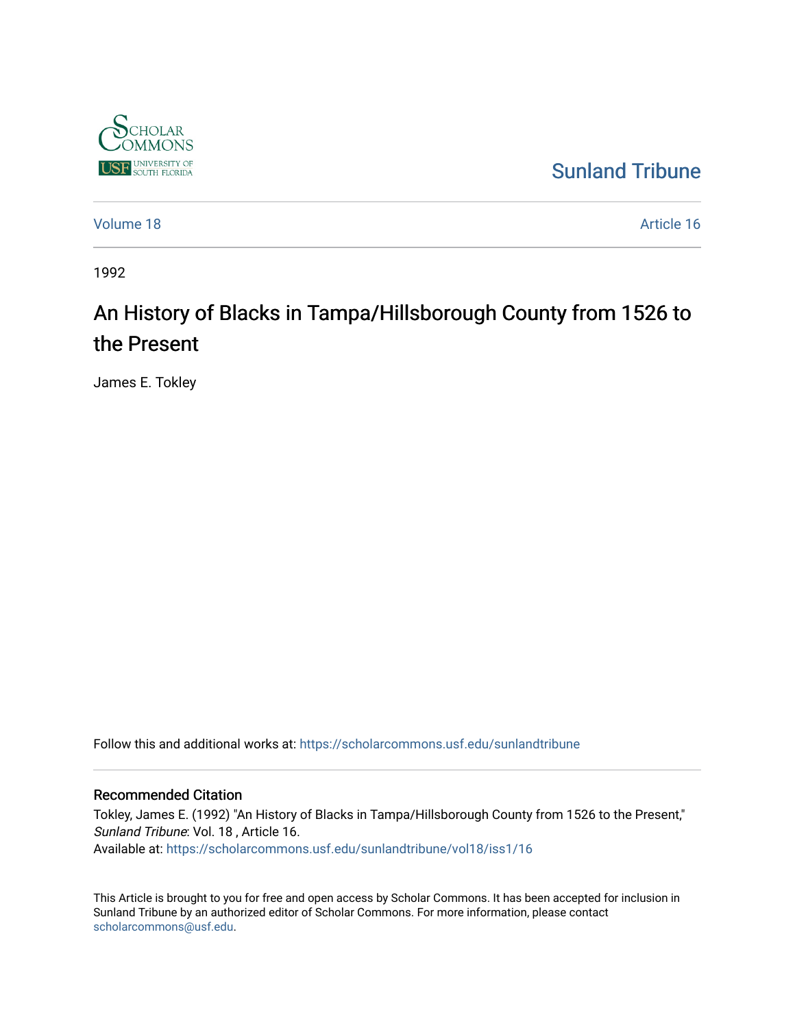

[Sunland Tribune](https://scholarcommons.usf.edu/sunlandtribune) 

[Volume 18](https://scholarcommons.usf.edu/sunlandtribune/vol18) Article 16

1992

## An History of Blacks in Tampa/Hillsborough County from 1526 to the Present

James E. Tokley

Follow this and additional works at: [https://scholarcommons.usf.edu/sunlandtribune](https://scholarcommons.usf.edu/sunlandtribune?utm_source=scholarcommons.usf.edu%2Fsunlandtribune%2Fvol18%2Fiss1%2F16&utm_medium=PDF&utm_campaign=PDFCoverPages) 

## Recommended Citation

Tokley, James E. (1992) "An History of Blacks in Tampa/Hillsborough County from 1526 to the Present," Sunland Tribune: Vol. 18 , Article 16. Available at: [https://scholarcommons.usf.edu/sunlandtribune/vol18/iss1/16](https://scholarcommons.usf.edu/sunlandtribune/vol18/iss1/16?utm_source=scholarcommons.usf.edu%2Fsunlandtribune%2Fvol18%2Fiss1%2F16&utm_medium=PDF&utm_campaign=PDFCoverPages)

This Article is brought to you for free and open access by Scholar Commons. It has been accepted for inclusion in Sunland Tribune by an authorized editor of Scholar Commons. For more information, please contact [scholarcommons@usf.edu.](mailto:scholarcommons@usf.edu)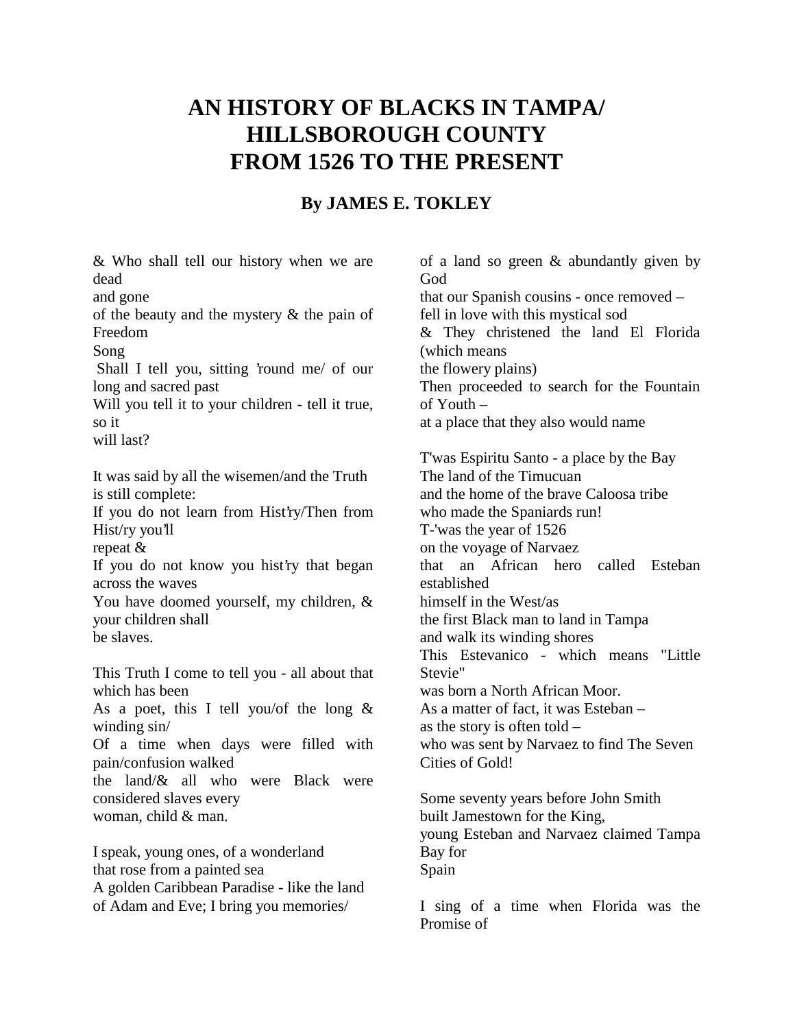## **AN HISTORY OF BLACKS IN TAMPA/ HILLSBOROUGH COUNTY FROM 1526 TO THE PRESENT**

## **By JAMES E. TOKLEY**

& Who shall tell our history when we are dead

and gone

of the beauty and the mystery & the pain of Freedom

Song

 Shall I tell you, sitting 'round me/ of our long and sacred past

Will you tell it to your children - tell it true, so it

will last?

It was said by all the wisemen/and the Truth is still complete:

If you do not learn from Hist'ry/Then from Hist/ry you'll

repeat &

If you do not know you hist'ry that began across the waves

You have doomed yourself, my children, & your children shall be slaves.

This Truth I come to tell you - all about that which has been As a poet, this I tell you/of the long  $\&$ winding sin/ Of a time when days were filled with pain/confusion walked the land/ $\&$  all who were Black were considered slaves every woman, child & man.

I speak, young ones, of a wonderland that rose from a painted sea A golden Caribbean Paradise - like the land of Adam and Eve; I bring you memories/

of a land so green & abundantly given by God that our Spanish cousins - once removed – fell in love with this mystical sod & They christened the land El Florida (which means the flowery plains) Then proceeded to search for the Fountain of Youth – at a place that they also would name T'was Espiritu Santo - a place by the Bay The land of the Timucuan and the home of the brave Caloosa tribe who made the Spaniards run! T-'was the year of 1526 on the voyage of Narvaez that an African hero called Esteban established himself in the West/as the first Black man to land in Tampa and walk its winding shores This Estevanico - which means "Little Stevie" was born a North African Moor. As a matter of fact, it was Esteban – as the story is often told – who was sent by Narvaez to find The Seven Cities of Gold! Some seventy years before John Smith

built Jamestown for the King, young Esteban and Narvaez claimed Tampa Bay for Spain

I sing of a time when Florida was the Promise of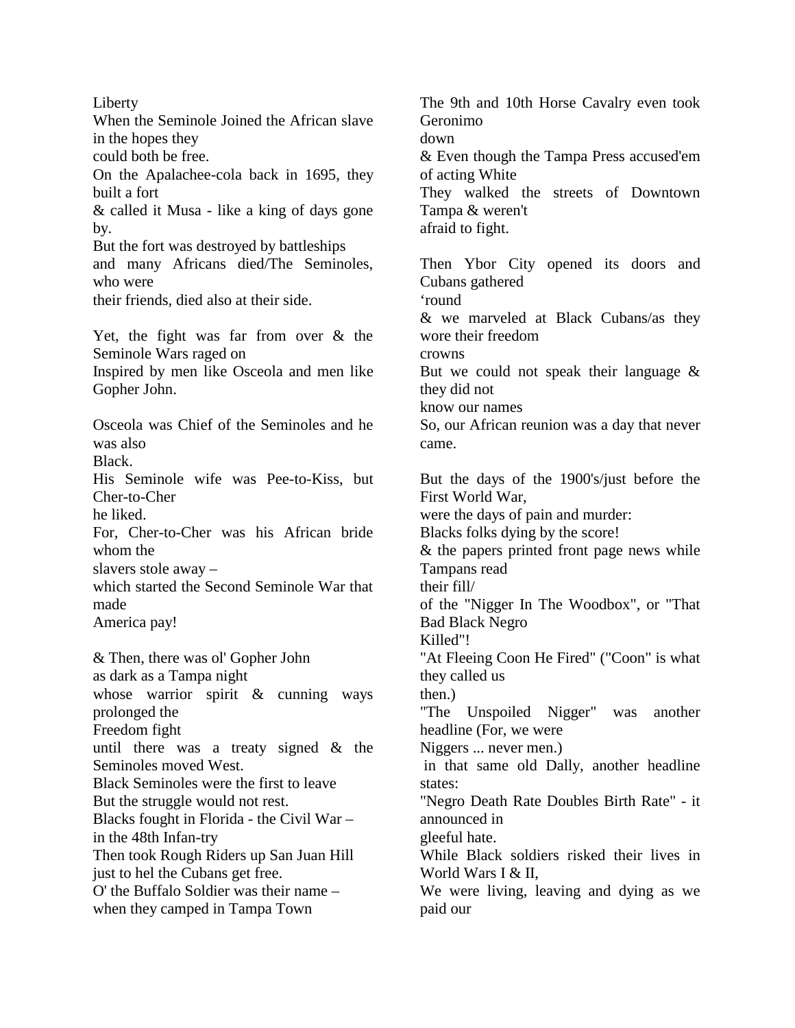Liberty When the Seminole Joined the African slave in the hopes they could both be free. On the Apalachee-cola back in 1695, they built a fort & called it Musa - like a king of days gone by. But the fort was destroyed by battleships and many Africans died/The Seminoles, who were their friends, died also at their side. Yet, the fight was far from over & the Seminole Wars raged on Inspired by men like Osceola and men like Gopher John. Osceola was Chief of the Seminoles and he was also Black. His Seminole wife was Pee-to-Kiss, but Cher-to-Cher he liked. For, Cher-to-Cher was his African bride whom the slavers stole away – which started the Second Seminole War that made America pay! & Then, there was ol' Gopher John as dark as a Tampa night whose warrior spirit & cunning ways prolonged the Freedom fight until there was a treaty signed & the Seminoles moved West. Black Seminoles were the first to leave But the struggle would not rest. Blacks fought in Florida - the Civil War – in the 48th Infan-try Then took Rough Riders up San Juan Hill just to hel the Cubans get free. O' the Buffalo Soldier was their name – when they camped in Tampa Town

The 9th and 10th Horse Cavalry even took Geronimo down & Even though the Tampa Press accused'em of acting White They walked the streets of Downtown Tampa & weren't afraid to fight. Then Ybor City opened its doors and Cubans gathered 'round & we marveled at Black Cubans/as they wore their freedom crowns But we could not speak their language & they did not know our names So, our African reunion was a day that never came. But the days of the 1900's/just before the First World War, were the days of pain and murder: Blacks folks dying by the score! & the papers printed front page news while Tampans read their fill/ of the "Nigger In The Woodbox", or "That Bad Black Negro Killed"! "At Fleeing Coon He Fired" ("Coon" is what they called us then.) "The Unspoiled Nigger" was another headline (For, we were Niggers ... never men.) in that same old Dally, another headline states: "Negro Death Rate Doubles Birth Rate" - it announced in gleeful hate. While Black soldiers risked their lives in World Wars I & II. We were living, leaving and dying as we paid our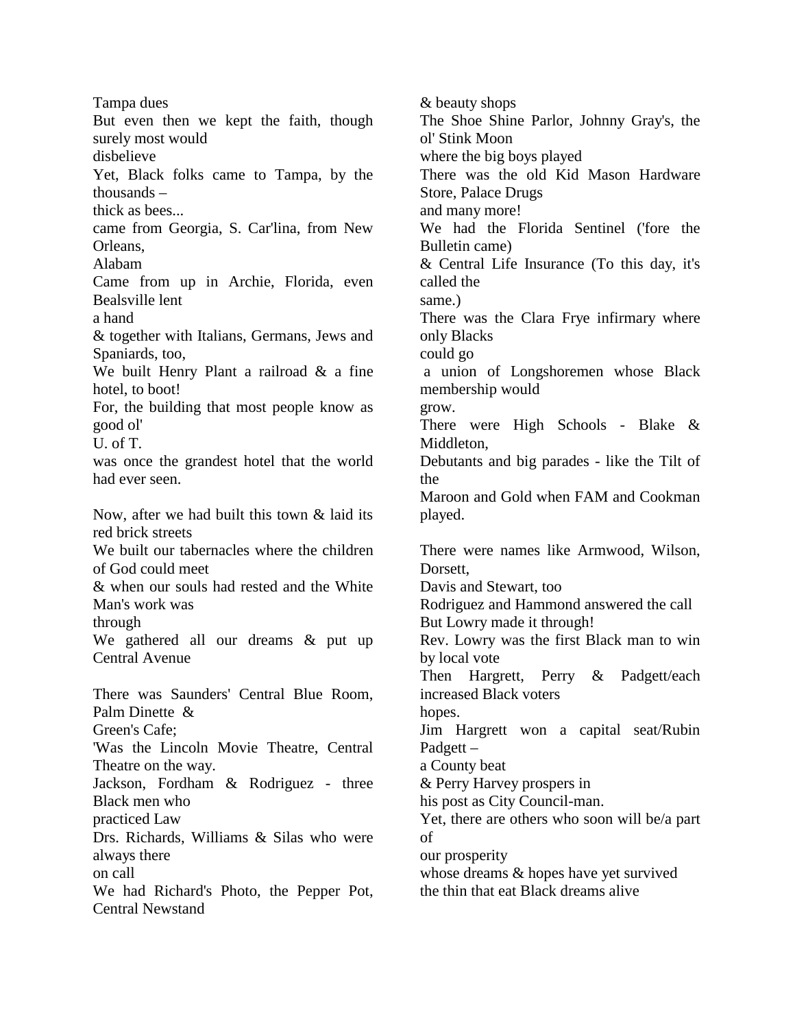Tampa dues But even then we kept the faith, though surely most would disbelieve Yet, Black folks came to Tampa, by the thousands – thick as bees... came from Georgia, S. Car'lina, from New Orleans, Alabam Came from up in Archie, Florida, even Bealsville lent a hand & together with Italians, Germans, Jews and Spaniards, too, We built Henry Plant a railroad & a fine hotel, to boot! For, the building that most people know as good ol' U. of T. was once the grandest hotel that the world had ever seen. Now, after we had built this town & laid its red brick streets We built our tabernacles where the children of God could meet & when our souls had rested and the White Man's work was through We gathered all our dreams & put up Central Avenue There was Saunders' Central Blue Room, Palm Dinette & Green's Cafe; 'Was the Lincoln Movie Theatre, Central Theatre on the way. Jackson, Fordham & Rodriguez - three Black men who practiced Law Drs. Richards, Williams & Silas who were always there on call We had Richard's Photo, the Pepper Pot, Central Newstand

& beauty shops The Shoe Shine Parlor, Johnny Gray's, the ol' Stink Moon where the big boys played There was the old Kid Mason Hardware Store, Palace Drugs and many more! We had the Florida Sentinel ('fore the Bulletin came) & Central Life Insurance (To this day, it's called the same.) There was the Clara Frye infirmary where only Blacks could go a union of Longshoremen whose Black membership would grow. There were High Schools - Blake & Middleton, Debutants and big parades - like the Tilt of the Maroon and Gold when FAM and Cookman played. There were names like Armwood, Wilson, Dorsett. Davis and Stewart, too Rodriguez and Hammond answered the call But Lowry made it through! Rev. Lowry was the first Black man to win by local vote Then Hargrett, Perry & Padgett/each increased Black voters hopes. Jim Hargrett won a capital seat/Rubin Padgett – a County beat & Perry Harvey prospers in his post as City Council-man. Yet, there are others who soon will be/a part of our prosperity whose dreams  $&$  hopes have yet survived the thin that eat Black dreams alive